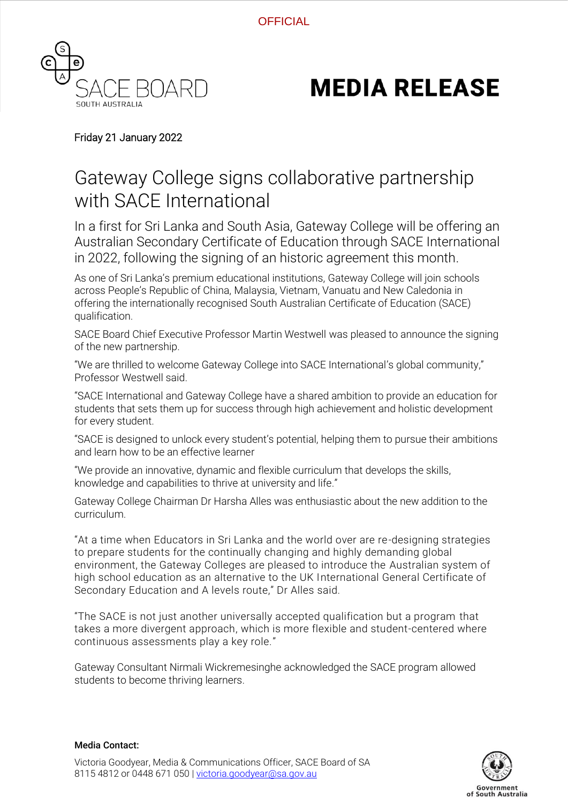**OFFICIAL** 



## **MEDIA RELEASE**

## Friday 21 January 2022

## Gateway College signs collaborative partnership with SACE International

In a first for Sri Lanka and South Asia, Gateway College will be offering an Australian Secondary Certificate of Education through SACE International in 2022, following the signing of an historic agreement this month.

As one of Sri Lanka's premium educational institutions, Gateway College will join schools across People's Republic of China, Malaysia, Vietnam, Vanuatu and New Caledonia in offering the internationally recognised South Australian Certificate of Education (SACE) qualification.

SACE Board Chief Executive Professor Martin Westwell was pleased to announce the signing of the new partnership.

"We are thrilled to welcome Gateway College into SACE International's global community," Professor Westwell said.

"SACE International and Gateway College have a shared ambition to provide an education for students that sets them up for success through high achievement and holistic development for every student.

"SACE is designed to unlock every student's potential, helping them to pursue their ambitions and learn how to be an effective learner

"We provide an innovative, dynamic and flexible curriculum that develops the skills, knowledge and capabilities to thrive at university and life."

Gateway College Chairman Dr Harsha Alles was enthusiastic about the new addition to the curriculum.

"At a time when Educators in Sri Lanka and the world over are re-designing strategies to prepare students for the continually changing and highly demanding global environment, the Gateway Colleges are pleased to introduce the Australian system of high school education as an alternative to the UK International General Certificate of Secondary Education and A levels route," Dr Alles said.

"The SACE is not just another universally accepted qualification but a program that takes a more divergent approach, which is more flexible and student-centered where continuous assessments play a key role."

Gateway Consultant Nirmali Wickremesinghe acknowledged the SACE program allowed students to become thriving learners.



## Media Contact: